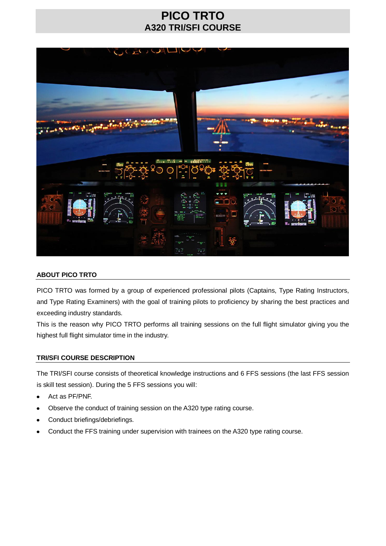## **PICO TRTO A320 TRI/SFI COURSE**



### **ABOUT PICO TRTO**

PICO TRTO was formed by a group of experienced professional pilots (Captains, Type Rating Instructors, and Type Rating Examiners) with the goal of training pilots to proficiency by sharing the best practices and exceeding industry standards.

This is the reason why PICO TRTO performs all training sessions on the full flight simulator giving you the highest full flight simulator time in the industry.

#### **TRI/SFI COURSE DESCRIPTION**

The TRI/SFI course consists of theoretical knowledge instructions and 6 FFS sessions (the last FFS session is skill test session). During the 5 FFS sessions you will:

- Act as PF/PNF.
- Observe the conduct of training session on the A320 type rating course.
- Conduct briefings/debriefings.  $\bullet$
- Conduct the FFS training under supervision with trainees on the A320 type rating course.